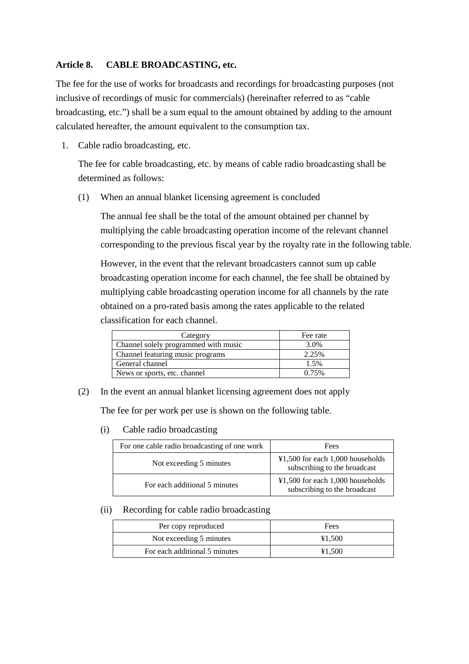## **Article 8. CABLE BROADCASTING, etc.**

The fee for the use of works for broadcasts and recordings for broadcasting purposes (not inclusive of recordings of music for commercials) (hereinafter referred to as "cable broadcasting, etc.") shall be a sum equal to the amount obtained by adding to the amount calculated hereafter, the amount equivalent to the consumption tax.

1. Cable radio broadcasting, etc.

The fee for cable broadcasting, etc. by means of cable radio broadcasting shall be determined as follows:

(1) When an annual blanket licensing agreement is concluded

The annual fee shall be the total of the amount obtained per channel by multiplying the cable broadcasting operation income of the relevant channel corresponding to the previous fiscal year by the royalty rate in the following table.

However, in the event that the relevant broadcasters cannot sum up cable broadcasting operation income for each channel, the fee shall be obtained by multiplying cable broadcasting operation income for all channels by the rate obtained on a pro-rated basis among the rates applicable to the related classification for each channel.

| Category                             | Fee rate |
|--------------------------------------|----------|
| Channel solely programmed with music | 3.0%     |
| Channel featuring music programs     | 2.25%    |
| General channel                      | 1.5%     |
| News or sports, etc. channel         | 0.75%    |

(2) In the event an annual blanket licensing agreement does not apply

The fee for per work per use is shown on the following table.

(i) Cable radio broadcasting

| For one cable radio broadcasting of one work | Fees                                                                                  |
|----------------------------------------------|---------------------------------------------------------------------------------------|
| Not exceeding 5 minutes                      | $\text{\textsterling}1,500$ for each 1,000 households<br>subscribing to the broadcast |
| For each additional 5 minutes                | $\text{\textsterling}1,500$ for each 1,000 households<br>subscribing to the broadcast |

(ii) Recording for cable radio broadcasting

| Per copy reproduced           | Fees   |
|-------------------------------|--------|
| Not exceeding 5 minutes       | ¥1.500 |
| For each additional 5 minutes | ¥1.500 |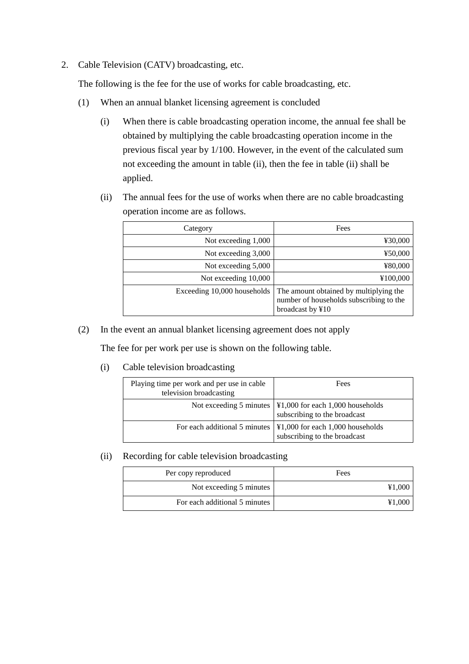2. Cable Television (CATV) broadcasting, etc.

The following is the fee for the use of works for cable broadcasting, etc.

- (1) When an annual blanket licensing agreement is concluded
	- (i) When there is cable broadcasting operation income, the annual fee shall be obtained by multiplying the cable broadcasting operation income in the previous fiscal year by 1/100. However, in the event of the calculated sum not exceeding the amount in table (ii), then the fee in table (ii) shall be applied.
	- (ii) The annual fees for the use of works when there are no cable broadcasting operation income are as follows.

| Category                    | Fees                                                                                                  |
|-----------------------------|-------------------------------------------------------------------------------------------------------|
| Not exceeding 1,000         | ¥30,000                                                                                               |
| Not exceeding 3,000         | ¥50,000                                                                                               |
| Not exceeding 5,000         | ¥80,000                                                                                               |
| Not exceeding 10,000        | ¥100,000                                                                                              |
| Exceeding 10,000 households | The amount obtained by multiplying the<br>number of households subscribing to the<br>broadcast by ¥10 |

(2) In the event an annual blanket licensing agreement does not apply

The fee for per work per use is shown on the following table.

(i) Cable television broadcasting

| Playing time per work and per use in cable<br>television broadcasting | Fees                                                                                                            |
|-----------------------------------------------------------------------|-----------------------------------------------------------------------------------------------------------------|
|                                                                       | Not exceeding 5 minutes $\vert \Psi \vert$ ,000 for each 1,000 households<br>subscribing to the broadcast       |
|                                                                       | For each additional 5 minutes $\vert \Psi1,000 \vert$ for each 1,000 households<br>subscribing to the broadcast |

(ii) Recording for cable television broadcasting

| Per copy reproduced           | Fees   |
|-------------------------------|--------|
| Not exceeding 5 minutes       | ¥1,000 |
| For each additional 5 minutes |        |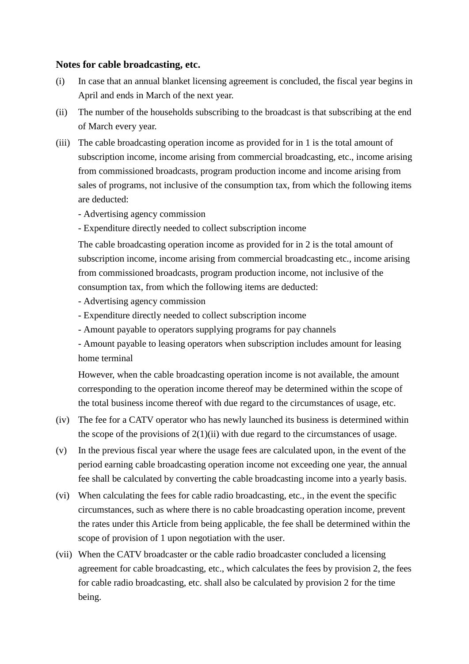## **Notes for cable broadcasting, etc.**

- (i) In case that an annual blanket licensing agreement is concluded, the fiscal year begins in April and ends in March of the next year.
- (ii) The number of the households subscribing to the broadcast is that subscribing at the end of March every year.
- (iii) The cable broadcasting operation income as provided for in 1 is the total amount of subscription income, income arising from commercial broadcasting, etc., income arising from commissioned broadcasts, program production income and income arising from sales of programs, not inclusive of the consumption tax, from which the following items are deducted:
	- Advertising agency commission
	- Expenditure directly needed to collect subscription income

The cable broadcasting operation income as provided for in 2 is the total amount of subscription income, income arising from commercial broadcasting etc., income arising from commissioned broadcasts, program production income, not inclusive of the consumption tax, from which the following items are deducted:

- Advertising agency commission
- Expenditure directly needed to collect subscription income
- Amount payable to operators supplying programs for pay channels

- Amount payable to leasing operators when subscription includes amount for leasing home terminal

However, when the cable broadcasting operation income is not available, the amount corresponding to the operation income thereof may be determined within the scope of the total business income thereof with due regard to the circumstances of usage, etc.

- (iv) The fee for a CATV operator who has newly launched its business is determined within the scope of the provisions of  $2(1)(ii)$  with due regard to the circumstances of usage.
- (v) In the previous fiscal year where the usage fees are calculated upon, in the event of the period earning cable broadcasting operation income not exceeding one year, the annual fee shall be calculated by converting the cable broadcasting income into a yearly basis.
- (vi) When calculating the fees for cable radio broadcasting, etc., in the event the specific circumstances, such as where there is no cable broadcasting operation income, prevent the rates under this Article from being applicable, the fee shall be determined within the scope of provision of 1 upon negotiation with the user.
- (vii) When the CATV broadcaster or the cable radio broadcaster concluded a licensing agreement for cable broadcasting, etc., which calculates the fees by provision 2, the fees for cable radio broadcasting, etc. shall also be calculated by provision 2 for the time being.